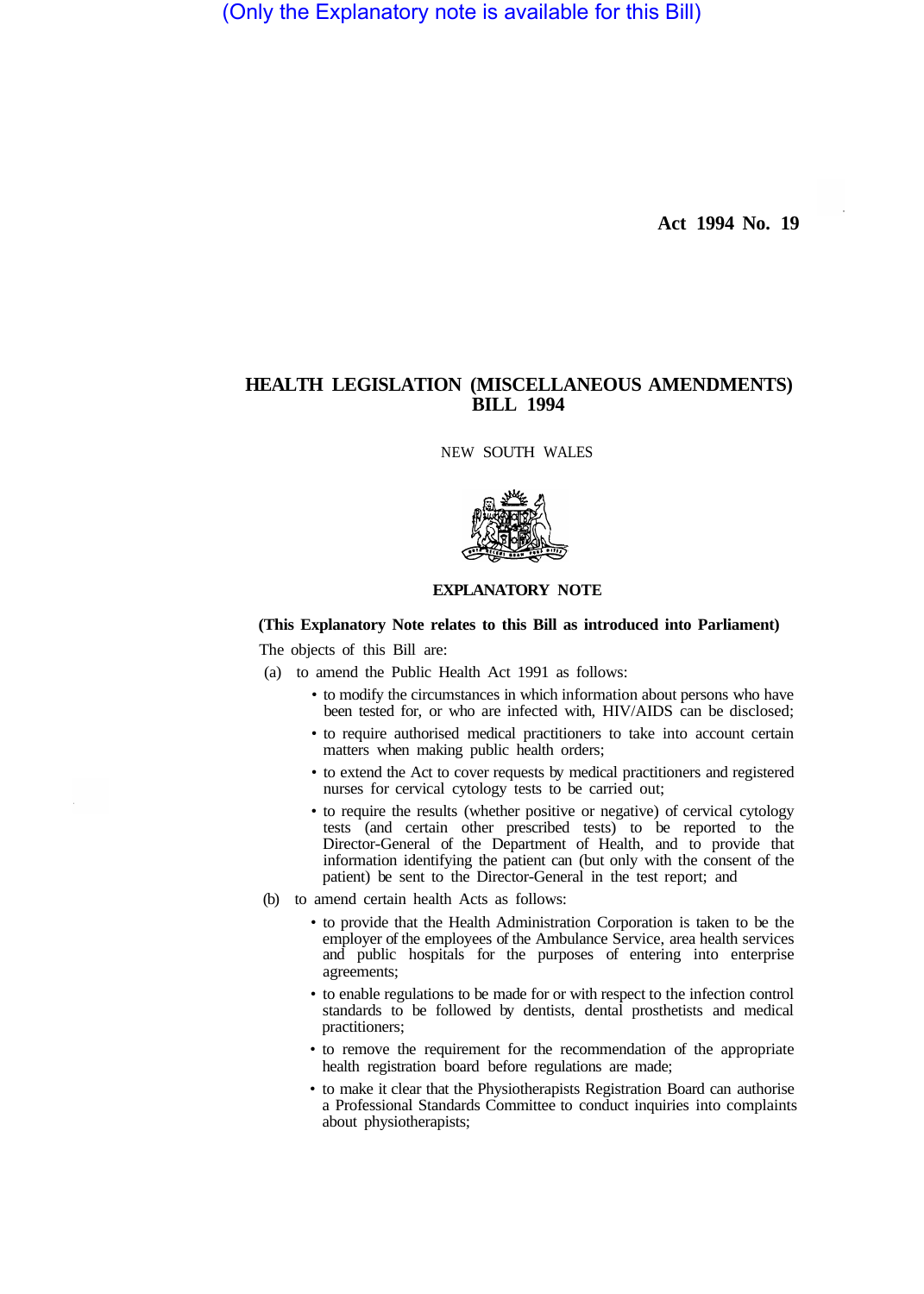(Only the Explanatory note is available for this Bill)

**Act 1994 No. 19** 

## **HEALTH LEGISLATION (MISCELLANEOUS AMENDMENTS) BILL 1994**

NEW SOUTH WALES



## **EXPLANATORY NOTE**

## **(This Explanatory Note relates to this Bill as introduced into Parliament)**

The objects of this Bill are:

- (a) to amend the Public Health Act 1991 as follows:
	- to modify the circumstances in which information about persons who have been tested for, or who are infected with, HIV/AIDS can be disclosed;
	- to require authorised medical practitioners to take into account certain matters when making public health orders;
	- to extend the Act to cover requests by medical practitioners and registered nurses for cervical cytology tests to be carried out;
	- to require the results (whether positive or negative) of cervical cytology tests (and certain other prescribed tests) to be reported to the Director-General of the Department of Health, and to provide that information identifying the patient can (but only with the consent of the patient) be sent to the Director-General in the test report; and
- (b) to amend certain health Acts as follows:
	- to provide that the Health Administration Corporation is taken to be the employer of the employees of the Ambulance Service, area health services and public hospitals for the purposes of entering into enterprise agreements;
	- to enable regulations to be made for or with respect to the infection control standards to be followed by dentists, dental prosthetists and medical practitioners;
	- to remove the requirement for the recommendation of the appropriate health registration board before regulations are made;
	- to make it clear that the Physiotherapists Registration Board can authorise a Professional Standards Committee to conduct inquiries into complaints about physiotherapists;